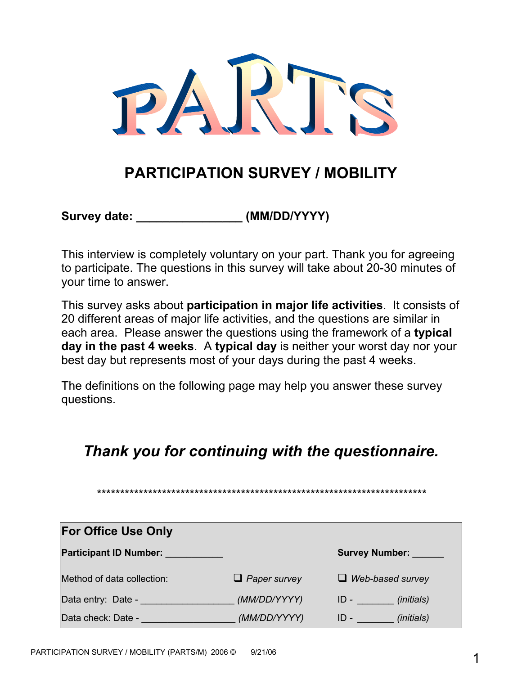

# **PARTICIPATION SURVEY / MOBILITY**

Survey date:  $(MM/DD/YYYY)$ 

This interview is completely voluntary on your part. Thank you for agreeing to participate. The questions in this survey will take about 20-30 minutes of your time to answer.

This survey asks about **participation in major life activities**. It consists of 20 different areas of major life activities, and the questions are similar in each area. Please answer the questions using the framework of a **typical day in the past 4 weeks**. A **typical day** is neither your worst day nor your best day but represents most of your days during the past 4 weeks.

The definitions on the following page may help you answer these survey questions.

## *Thank you for continuing with the questionnaire.*

*\*\*\*\*\*\*\*\*\*\*\*\*\*\*\*\*\*\*\*\*\*\*\*\*\*\*\*\*\*\*\*\*\*\*\*\*\*\*\*\*\*\*\*\*\*\*\*\*\*\*\*\*\*\*\*\*\*\*\*\*\*\*\*\*\*\*\*\*\*\*\** 

| <b>For Office Use Only</b>    |                     |                               |
|-------------------------------|---------------------|-------------------------------|
| <b>Participant ID Number:</b> |                     | <b>Survey Number:</b>         |
| Method of data collection:    | $\Box$ Paper survey | $\Box$ Web-based survey       |
| Data entry: Date -            | (MM/DD/YYYY)        | ( <i>initials</i> )<br>$ID -$ |
| Data check: Date -            | (MM/DD/YYYY)        | <i>(initials)</i><br>ID -     |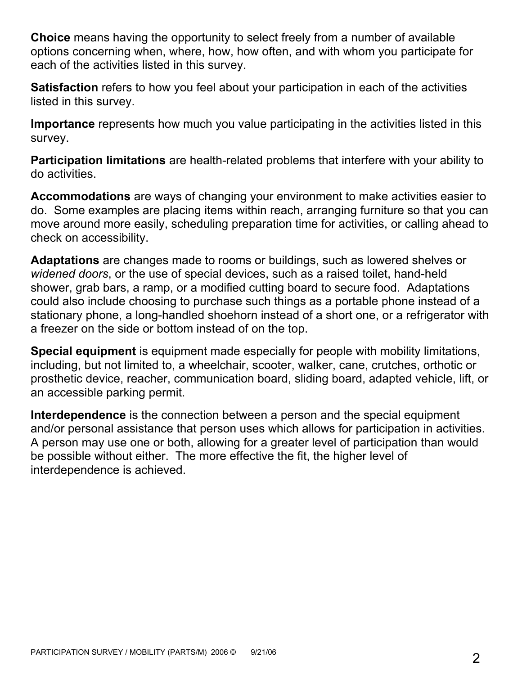**Choice** means having the opportunity to select freely from a number of available options concerning when, where, how, how often, and with whom you participate for each of the activities listed in this survey.

**Satisfaction** refers to how you feel about your participation in each of the activities listed in this survey.

**Importance** represents how much you value participating in the activities listed in this survey.

**Participation limitations** are health-related problems that interfere with your ability to do activities.

**Accommodations** are ways of changing your environment to make activities easier to do. Some examples are placing items within reach, arranging furniture so that you can move around more easily, scheduling preparation time for activities, or calling ahead to check on accessibility.

**Adaptations** are changes made to rooms or buildings, such as lowered shelves or *widened doors*, or the use of special devices, such as a raised toilet, hand-held shower, grab bars, a ramp, or a modified cutting board to secure food. Adaptations could also include choosing to purchase such things as a portable phone instead of a stationary phone, a long-handled shoehorn instead of a short one, or a refrigerator with a freezer on the side or bottom instead of on the top.

**Special equipment** is equipment made especially for people with mobility limitations, including, but not limited to, a wheelchair, scooter, walker, cane, crutches, orthotic or prosthetic device, reacher, communication board, sliding board, adapted vehicle, lift, or an accessible parking permit.

**Interdependence** is the connection between a person and the special equipment and/or personal assistance that person uses which allows for participation in activities. A person may use one or both, allowing for a greater level of participation than would be possible without either. The more effective the fit, the higher level of interdependence is achieved.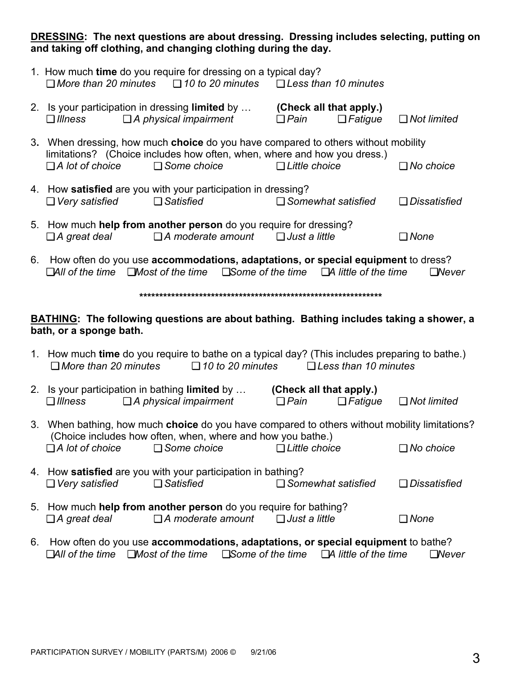**DRESSING: The next questions are about dressing. Dressing includes selecting, putting on and taking off clothing, and changing clothing during the day.** 

|                        | 1. How much time do you require for dressing on a typical day?<br>$\Box$ More than 20 minutes $\Box$ 10 to 20 minutes $\Box$ Less than 10 minutes                                      |                                        |                |                     |
|------------------------|----------------------------------------------------------------------------------------------------------------------------------------------------------------------------------------|----------------------------------------|----------------|---------------------|
| $\Box$ Illness         | 2. Is your participation in dressing <b>limited</b> by<br>$\Box$ A physical impairment                                                                                                 | (Check all that apply.)<br>$\Box$ Pain | $\Box$ Fatigue | $\Box$ Not limited  |
| $\Box$ A lot of choice | 3. When dressing, how much choice do you have compared to others without mobility<br>limitations? (Choice includes how often, when, where and how you dress.)<br>$\square$ Some choice | $\Box$ Little choice                   |                | $\Box$ No choice    |
| $\Box$ Very satisfied  | 4. How <b>satisfied</b> are you with your participation in dressing?<br>$\Box$ Satisfied                                                                                               | $\Box$ Somewhat satisfied              |                | $\Box$ Dissatisfied |
| $\Box$ A great deal    | 5. How much help from another person do you require for dressing?<br>$\Box$ A moderate amount $\Box$ Just a little                                                                     |                                        |                | □ None              |

6. How often do you use **accommodations, adaptations, or special equipment** to dress? ❏*All of the time* ❏*Most of the time* ❏*Some of the time* ❏*A little of the time* ❏*Never* 

**\*\*\*\*\*\*\*\*\*\*\*\*\*\*\*\*\*\*\*\*\*\*\*\*\*\*\*\*\*\*\*\*\*\*\*\*\*\*\*\*\*\*\*\*\*\*\*\*\*\*\*\*\*\*\*\*\*\*\*\*\*** 

#### **BATHING: The following questions are about bathing. Bathing includes taking a shower, a bath, or a sponge bath.**

|                             |                         | 1. How much time do you require to bathe on a typical day? (This includes preparing to bathe.) |
|-----------------------------|-------------------------|------------------------------------------------------------------------------------------------|
| $\Box$ More than 20 minutes | $\Box$ 10 to 20 minutes | $\Box$ Less than 10 minutes                                                                    |

| 2. Is your participation in bathing limited by |                                                                                               | (Check all that apply.) |                |                    |
|------------------------------------------------|-----------------------------------------------------------------------------------------------|-------------------------|----------------|--------------------|
| $\Box$ Illness                                 | $\Box$ A physical impairment                                                                  | $\Box$ Pain             | $\Box$ Fatique | $\Box$ Not limited |
|                                                | 3. When bathing, how much choice do you have compared to others without mobility limitations? |                         |                |                    |

|                        |                                                             | 3. When bathing, how much <b>choice</b> do you have compared to others without mobility limitations |                  |
|------------------------|-------------------------------------------------------------|-----------------------------------------------------------------------------------------------------|------------------|
|                        | (Choice includes how often, when, where and how you bathe.) |                                                                                                     |                  |
| $\Box$ A lot of choice | $\Box$ Some choice                                          | $\Box$ Little choice                                                                                | $\Box$ No choice |

| 4. How satisfied are you with your participation in bathing? |                     |                           |                |
|--------------------------------------------------------------|---------------------|---------------------------|----------------|
| $\Box$ Very satisfied                                        | $\square$ Satisfied | $\Box$ Somewhat satisfied | □ Dissatisfied |

- 5.How much **help from another person** do you require for bathing? ❏ *A great deal*❏ *A moderate amount*❏ *Just a little*❏ *None*
- 6. How often do you use **accommodations, adaptations, or special equipment** to bathe? ❏*All of the time* ❏*Most of the time* ❏*Some of the time* ❏*A little of the time* ❏*Never*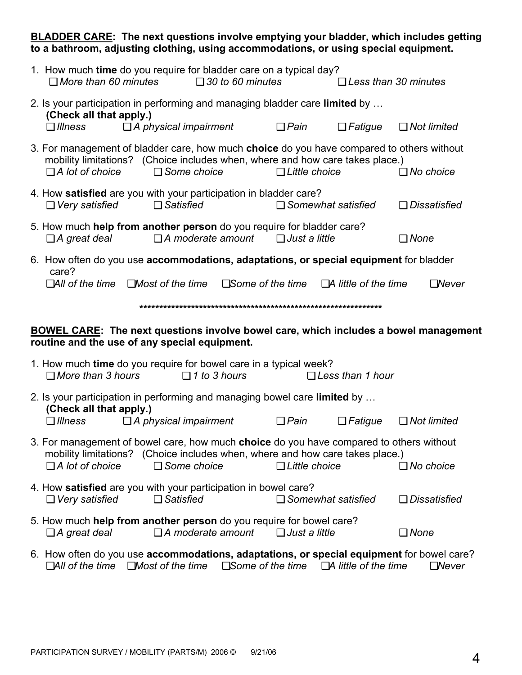#### **BLADDER CARE: The next questions involve emptying your bladder, which includes getting to a bathroom, adjusting clothing, using accommodations, or using special equipment.**

| 1. How much time do you require for bladder care on a typical day?<br>$\Box$ More than 60 minutes                                            |                                                                               | $\Box$ 30 to 60 minutes  |                                               |                             | $\Box$ Less than 30 minutes |  |  |  |  |
|----------------------------------------------------------------------------------------------------------------------------------------------|-------------------------------------------------------------------------------|--------------------------|-----------------------------------------------|-----------------------------|-----------------------------|--|--|--|--|
| 2. Is your participation in performing and managing bladder care limited by<br>(Check all that apply.)<br>$\Box$ Illness                     | $\Box$ A physical impairment                                                  |                          | $\Box$ Pain                                   | $\Box$ Fatigue              | $\Box$ Not limited          |  |  |  |  |
| 3. For management of bladder care, how much choice do you have compared to others without<br>$\Box$ A lot of choice                          | mobility limitations? (Choice includes when, where and how care takes place.) | $\Box$ Some choice       | $\Box$ Little choice                          |                             | $\Box$ No choice            |  |  |  |  |
| 4. How satisfied are you with your participation in bladder care?<br>$\Box$ Very satisfied                                                   | $\Box$ Satisfied                                                              |                          |                                               | $\Box$ Somewhat satisfied   | $\Box$ Dissatisfied         |  |  |  |  |
| 5. How much help from another person do you require for bladder care?<br>$\Box$ A great deal                                                 |                                                                               |                          | $\Box$ A moderate amount $\Box$ Just a little |                             | $\Box$ None                 |  |  |  |  |
| 6. How often do you use accommodations, adaptations, or special equipment for bladder<br>care?                                               | $\Box$ All of the time $\Box$ Most of the time                                |                          | $\Box$ Some of the time                       | $\Box$ A little of the time | $\Box$ Never                |  |  |  |  |
|                                                                                                                                              |                                                                               |                          |                                               |                             |                             |  |  |  |  |
| <b>BOWEL CARE:</b> The next questions involve bowel care, which includes a bowel management<br>routine and the use of any special equipment. |                                                                               |                          |                                               |                             |                             |  |  |  |  |
|                                                                                                                                              |                                                                               |                          |                                               |                             |                             |  |  |  |  |
| 1. How much time do you require for bowel care in a typical week?<br>$\Box$ More than 3 hours                                                |                                                                               | $\Box$ 1 to 3 hours      |                                               | $\Box$ Less than 1 hour     |                             |  |  |  |  |
| 2. Is your participation in performing and managing bowel care limited by                                                                    |                                                                               |                          |                                               |                             |                             |  |  |  |  |
| (Check all that apply.)<br>$\Box$ Illness                                                                                                    | $\Box$ A physical impairment                                                  |                          | $\Box$ Pain                                   | $\Box$ Fatigue              | $\Box$ Not limited          |  |  |  |  |
| 3. For management of bowel care, how much choice do you have compared to others without<br>$\Box$ A lot of choice                            | mobility limitations? (Choice includes when, where and how care takes place.) | $\Box$ Some choice       | $\Box$ Little choice                          |                             | $\Box$ No choice            |  |  |  |  |
| 4. How satisfied are you with your participation in bowel care?<br>$\Box$ Very satisfied                                                     | $\Box$ Satisfied                                                              |                          |                                               | $\Box$ Somewhat satisfied   | <b>□</b> Dissatisfied       |  |  |  |  |
| 5. How much help from another person do you require for bowel care?<br>$\Box$ A great deal                                                   |                                                                               | $\Box$ A moderate amount | $\Box$ Just a little                          |                             | $\Box$ None                 |  |  |  |  |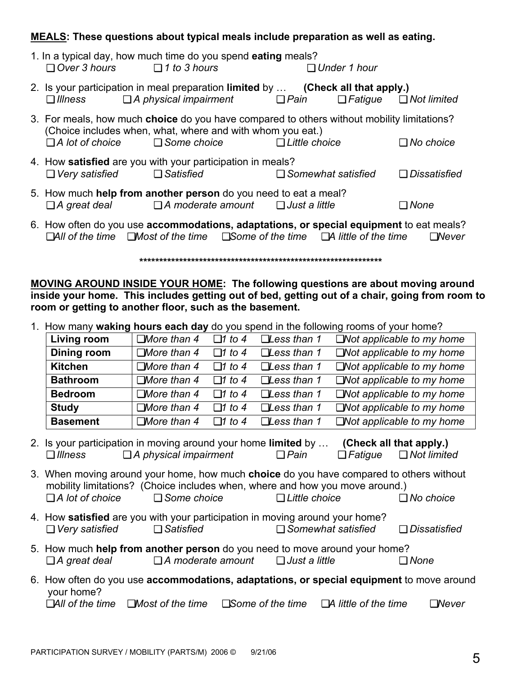### **MEALS: These questions about typical meals include preparation as well as eating.**

| $\Box$ Over 3 hours $\Box$ 1 to 3 hours | 1. In a typical day, how much time do you spend eating meals?                                                                                                                  |                           | $\Box$ Under 1 hour |                                   |
|-----------------------------------------|--------------------------------------------------------------------------------------------------------------------------------------------------------------------------------|---------------------------|---------------------|-----------------------------------|
| $\Box$ <i>Illness</i>                   | 2. Is your participation in meal preparation limited by  (Check all that apply.)<br>$\Box$ A physical impairment $\Box$ Pain                                                   |                           |                     | $\Box$ Fatigue $\Box$ Not limited |
| $\Box$ A lot of choice                  | 3. For meals, how much choice do you have compared to others without mobility limitations?<br>(Choice includes when, what, where and with whom you eat.)<br>$\Box$ Some choice | $\Box$ Little choice      |                     | $\Box$ No choice                  |
|                                         | 4. How satisfied are you with your participation in meals?<br>$\Box$ Very satisfied $\Box$ Satisfied                                                                           | $\Box$ Somewhat satisfied |                     | $\Box$ Dissatisfied               |
|                                         | 5. How much help from another person do you need to eat a meal?<br>$\Box$ A great deal $\Box$ A moderate amount $\Box$ Just a little                                           |                           |                     | $\Box$ None                       |
|                                         | 6. How often do you use accommodations, adaptations, or special equipment to eat meals?                                                                                        |                           |                     |                                   |

❏*All of the time* ❏*Most of the time* ❏*Some of the time* ❏*A little of the time* ❏*Never* 

**\*\*\*\*\*\*\*\*\*\*\*\*\*\*\*\*\*\*\*\*\*\*\*\*\*\*\*\*\*\*\*\*\*\*\*\*\*\*\*\*\*\*\*\*\*\*\*\*\*\*\*\*\*\*\*\*\*\*\*\*\*** 

**MOVING AROUND INSIDE YOUR HOME: The following questions are about moving around inside your home. This includes getting out of bed, getting out of a chair, going from room to room or getting to another floor, such as the basement.** 

| 1. How many waking hours each day do you spend in the following rooms of your home? |                    |               |                       |                                  |  |
|-------------------------------------------------------------------------------------|--------------------|---------------|-----------------------|----------------------------------|--|
| Living room                                                                         | $\Box$ More than 4 | $\Box$ 1 to 4 | $\square$ Less than 1 | $\Box$ Not applicable to my home |  |
| Dining room                                                                         | $\Box$ More than 4 | $\Box$ 1 to 4 | $\square$ Less than 1 | $\Box$ Not applicable to my home |  |
| <b>Kitchen</b>                                                                      | $\Box$ More than 4 | $\Box$ 1 to 4 | $\square$ Less than 1 | $\Box$ Not applicable to my home |  |
| <b>Bathroom</b>                                                                     | $\Box$ More than 4 | $\Box$ 1 to 4 | $\square$ Less than 1 | $\Box$ Not applicable to my home |  |
| <b>Bedroom</b>                                                                      | $\Box$ More than 4 | $\Box$ 1 to 4 | $\square$ Less than 1 | $\Box$ Not applicable to my home |  |
| <b>Study</b>                                                                        | $\Box$ More than 4 | $\Box$ 1 to 4 | $\square$ Less than 1 | $\Box$ Not applicable to my home |  |
| <b>Basement</b>                                                                     | $\Box$ More than 4 | $\Box$ 1 to 4 | $\square$ Less than 1 | $\Box$ Not applicable to my home |  |

2.Is your participation in moving around your home **limited** by … **(Check all that apply.)** ❏ *Illness* ❏ *A physical impairment* ❏ *Pain* ❏ *Fatigue* ❏ *Not limited* 

3.When moving around your home, how much **choice** do you have compared to others without mobility limitations? (Choice includes when, where and how you move around.) ❏ *A lot of choice* ❏ *Some choice* ❏ *Little choice* ❏ *No choice*

- 4.How **satisfied** are you with your participation in moving around your home? ❏ *Very satisfied* ❏ *Satisfied* ❏ *Somewhat satisfied* ❏ *Dissatisfied*
- 5.How much **help from another person** do you need to move around your home? ❏ *A great deal*❏ *A moderate amount*❏ *Just a little*❏ *None*
- 6. How often do you use **accommodations, adaptations, or special equipment** to move around your home? ❏*All of the time* ❏*Most of the time* ❏*Some of the time* ❏*A little of the time* ❏*Never*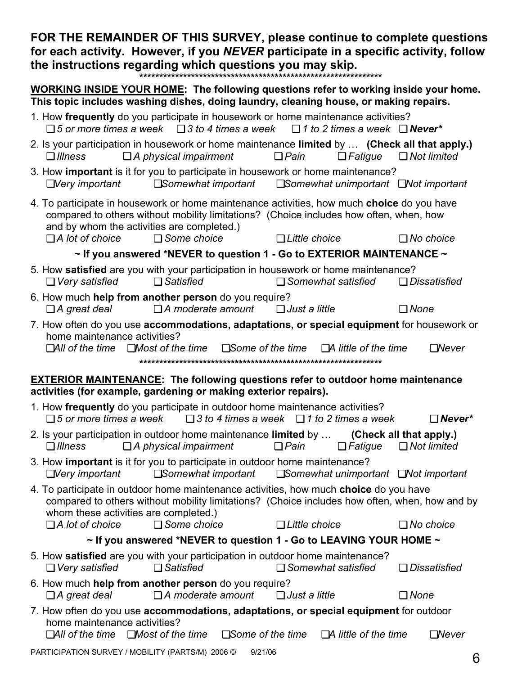**FOR THE REMAINDER OF THIS SURVEY, please continue to complete questions for each activity. However, if you** *NEVER* **participate in a specific activity, follow the instructions regarding which questions you may skip. \*\*\*\*\*\*\*\*\*\*\*\*\*\*\*\*\*\*\*\*\*\*\*\*\*\*\*\*\*\*\*\*\*\*\*\*\*\*\*\*\*\*\*\*\*\*\*\*\*\*\*\*\*\*\*\*\*\*\*\*\*** 

**WORKING INSIDE YOUR HOME: The following questions refer to working inside your home. This topic includes washing dishes, doing laundry, cleaning house, or making repairs.** 

- 1. How **frequently** do you participate in housework or home maintenance activities? ❏ *5 or more times a week* ❏ *3 to 4 times a week* ❏ *1 to 2 times a week* ❏ *Never\**
- 2. Is your participation in housework or home maintenance **limited** by … **(Check all that apply.)** ❏ *Illness* ❏ *A physical impairment* ❏ *Pain* ❏ *Fatigue* ❏ *Not limited*
- 3. How **important** is it for you to participate in housework or home maintenance? ❏*Very important* ❏*Somewhat important* ❏*Somewhat unimportant* ❏*Not important*
- 4. To participate in housework or home maintenance activities, how much **choice** do you have compared to others without mobility limitations? (Choice includes how often, when, how and by whom the activities are completed.)
	- ❏ *A lot of choice* ❏ *Some choice* ❏ *Little choice* ❏ *No choice*

**~ If you answered \*NEVER to question 1 - Go to EXTERIOR MAINTENANCE ~** 

- 5. How **satisfied** are you with your participation in housework or home maintenance? ❏ *Very satisfied* ❏ *Satisfied* ❏ *Somewhat satisfied* ❏ *Dissatisfied*
- 6. How much **help from another person** do you require? ❏ *A great deal*❏ *A moderate amount*❏ *Just a little*❏ *None*
- 7. How often do you use **accommodations, adaptations, or special equipment** for housework or home maintenance activities? ❏*All of the time* ❏*Most of the time* ❏*Some of the time* ❏*A little of the time* ❏*Never*

**\*\*\*\*\*\*\*\*\*\*\*\*\*\*\*\*\*\*\*\*\*\*\*\*\*\*\*\*\*\*\*\*\*\*\*\*\*\*\*\*\*\*\*\*\*\*\*\*\*\*\*\*\*\*\*\*\*\*\*\*\*** 

## **EXTERIOR MAINTENANCE: The following questions refer to outdoor home maintenance activities (for example, gardening or making exterior repairs).**

1. How **frequently** do you participate in outdoor home maintenance activities? ❏ *5 or more times a week* ❏ *3 to 4 times a week* ❏ *1 to 2 times a week* ❏ *Never\** 2. Is your participation in outdoor home maintenance **limited** by … **(Check all that apply.)** ❏ *Illness* ❏ *A physical impairment* ❏ *Pain* ❏ *Fatigue* ❏ *Not limited*  3. How **important** is it for you to participate in outdoor home maintenance? ❏*Very important* ❏*Somewhat important* ❏*Somewhat unimportant* ❏*Not important*  4. To participate in outdoor home maintenance activities, how much **choice** do you have compared to others without mobility limitations? (Choice includes how often, when, how and by whom these activities are completed.) ❏ *A lot of choice* ❏ *Some choice* ❏ *Little choice* ❏ *No choice*  **~ If you answered \*NEVER to question 1 - Go to LEAVING YOUR HOME ~**  5. How **satisfied** are you with your participation in outdoor home maintenance? ❏ *Very satisfied* ❏ *Satisfied* ❏ *Somewhat satisfied* ❏ *Dissatisfied* 6. How much **help from another person** do you require? ❏ *A great deal*❏ *A moderate amount*❏ *Just a little*❏ *None* 7. How often do you use **accommodations, adaptations, or special equipment** for outdoor home maintenance activities? ❏*All of the time* ❏*Most of the time* ❏*Some of the time* ❏*A little of the time* ❏*Never*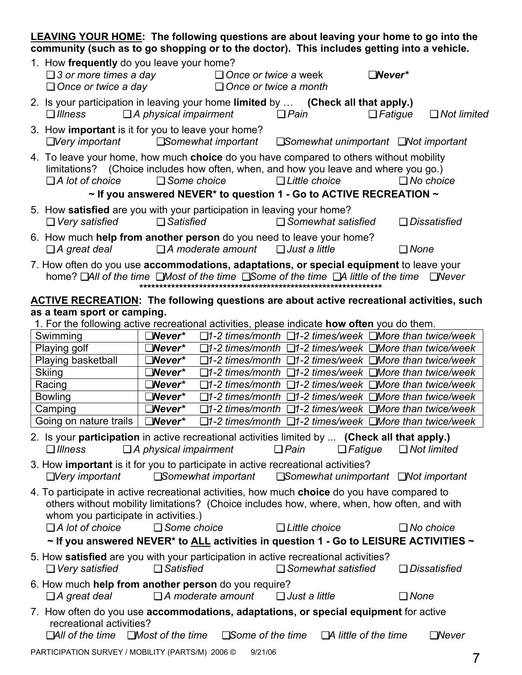### **LEAVING YOUR HOME: The following questions are about leaving your home to go into the community (such as to go shopping or to the doctor). This includes getting into a vehicle.**  1. How **frequently** do you leave your home? ❏ *3 or more times a day* ❏ *Once or twice a* week ❏*Never\**  ❏ *Once or twice a day* ❏ *Once or twice a month* 2.Is your participation in leaving your home **limited** by … **(Check all that apply.)** ❏ *Illness* ❏ *A physical impairment* ❏ *Pain* ❏ *Fatigue* ❏ *Not limited*  3.How **important** is it for you to leave your home? ❏*Very important* ❏*Somewhat important* ❏*Somewhat unimportant* ❏*Not important*  4.To leave your home, how much **choice** do you have compared to others without mobility limitations? (Choice includes how often, when, and how you leave and where you go.) ❏ *A lot of choice* ❏ *Some choice* ❏ *Little choice* ❏ *No choice*  **~ If you answered NEVER\* to question 1 - Go to ACTIVE RECREATION ~**  5.How **satisfied** are you with your participation in leaving your home? ❏ *Very satisfied* ❏ *Satisfied* ❏ *Somewhat satisfied* ❏ *Dissatisfied* 6.How much **help from another person** do you need to leave your home? ❏ *A great deal*❏ *A moderate amount*❏ *Just a little*❏ *None* 7. How often do you use **accommodations, adaptations, or special equipment** to leave your home? ❏*All of the time* ❏*Most of the time* ❏*Some of the time* ❏*A little of the time* ❏*Never*  **\*\*\*\*\*\*\*\*\*\*\*\*\*\*\*\*\*\*\*\*\*\*\*\*\*\*\*\*\*\*\*\*\*\*\*\*\*\*\*\*\*\*\*\*\*\*\*\*\*\*\*\*\*\*\*\*\*\*\*\*\* ACTIVE RECREATION: The following questions are about active recreational activities, such as a team sport or camping.**  1. For the following active recreational activities, please indicate **how often** you do them. Swimming ❏*Never\** ❏*1-2 times/month* ❏*1-2 times/week* ❏*More than twice/week* Playing golf ❏*Never\** ❏*1-2 times/month* ❏*1-2 times/week* ❏*More than twice/week* Playing basketball ❏*Never\** ❏*1-2 times/month* ❏*1-2 times/week* ❏*More than twice/week* Skiing ❏*Never\** ❏*1-2 times/month* ❏*1-2 times/week* ❏*More than twice/week* Racing ❏*Never\** ❏*1-2 times/month* ❏*1-2 times/week* ❏*More than twice/week* Bowling ❏*Never\** ❏*1-2 times/month* ❏*1-2 times/week* ❏*More than twice/week* Camping ❏*Never\** ❏*1-2 times/month* ❏*1-2 times/week* ❏*More than twice/week* Going on nature trails ❏*Never\** ❏*1-2 times/month* ❏*1-2 times/week* ❏*More than twice/week* 2. Is your **participation** in active recreational activities limited by ... **(Check all that apply.)** ❏ *Illness* ❏ *A physical impairment* ❏ *Pain* ❏ *Fatigue* ❏ *Not limited*  3. How **important** is it for you to participate in active recreational activities? ❏*Very important* ❏*Somewhat important* ❏*Somewhat unimportant* ❏*Not important*  4. To participate in active recreational activities, how much **choice** do you have compared to others without mobility limitations? (Choice includes how, where, when, how often, and with whom you participate in activities.) ❏ *A lot of choice* ❏ *Some choice* ❏ *Little choice* ❏ *No choice* **~ If you answered NEVER\* to ALL activities in question 1 - Go to LEISURE ACTIVITIES ~**  5. How **satisfied** are you with your participation in active recreational activities?

- ❏ *Very satisfied* ❏ *Satisfied* ❏ *Somewhat satisfied* ❏ *Dissatisfied*
- 6. How much **help from another person** do you require? ❏ *A great deal*❏ *A moderate amount*❏ *Just a little*❏ *None*
- 7. How often do you use **accommodations, adaptations, or special equipment** for active recreational activities?

❏*All of the time* ❏*Most of the time* ❏*Some of the time* ❏*A little of the time* ❏*Never*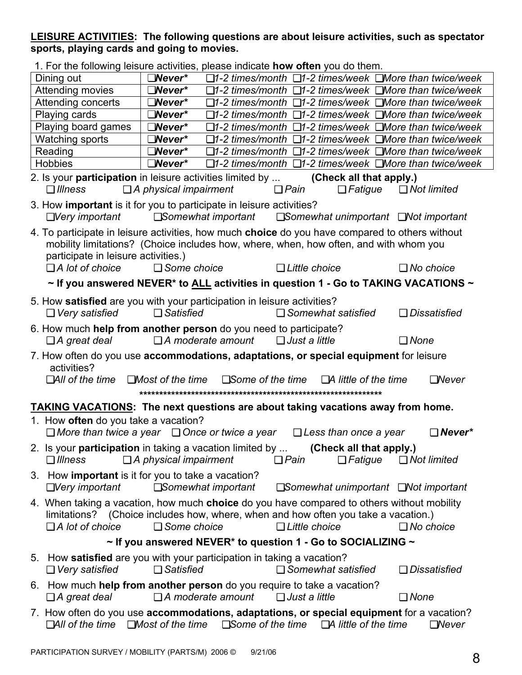### **LEISURE ACTIVITIES: The following questions are about leisure activities, such as spectator sports, playing cards and going to movies.**

| 1. For the following leisure activities, please indicate <b>how often</b> you do them.                                                                                                                                          |                              |                            |                                                                                     |             |                     |
|---------------------------------------------------------------------------------------------------------------------------------------------------------------------------------------------------------------------------------|------------------------------|----------------------------|-------------------------------------------------------------------------------------|-------------|---------------------|
| Dining out                                                                                                                                                                                                                      | $\square$ Never*             |                            | □1-2 times/month □1-2 times/week □More than twice/week                              |             |                     |
| Attending movies                                                                                                                                                                                                                | $\square$ Never*             |                            | $\Box$ 1-2 times/month $\Box$ 1-2 times/week $\Box$ More than twice/week            |             |                     |
| Attending concerts                                                                                                                                                                                                              | $\square$ Never*             |                            | $\Box$ 1-2 times/month $\Box$ 1-2 times/week $\Box$ More than twice/week            |             |                     |
| Playing cards                                                                                                                                                                                                                   | $\square$ Never*             |                            | $\Box$ 1-2 times/month $\Box$ 1-2 times/week $\Box$ More than twice/week            |             |                     |
| Playing board games                                                                                                                                                                                                             | $\square$ Never*             |                            | $\Box$ 1-2 times/month $\Box$ 1-2 times/week $\Box$ More than twice/week            |             |                     |
| <b>Watching sports</b>                                                                                                                                                                                                          | $\square$ Never*             |                            | $\Box$ 1-2 times/month $\Box$ 1-2 times/week $\Box$ More than twice/week            |             |                     |
| Reading                                                                                                                                                                                                                         | $\square$ Never*             |                            | □1-2 times/month □1-2 times/week □More than twice/week                              |             |                     |
| <b>Hobbies</b>                                                                                                                                                                                                                  | $\square$ Never*             |                            | $\Box$ 1-2 times/month $\Box$ 1-2 times/week $\Box$ More than twice/week            |             |                     |
| 2. Is your <b>participation</b> in leisure activities limited by<br>$\Box$ Illness                                                                                                                                              | $\Box$ A physical impairment |                            | (Check all that apply.)<br>$\Box$ Pain<br>$\Box$ Fatigue                            |             | $\Box$ Not limited  |
| 3. How important is it for you to participate in leisure activities?<br>$\Box$ Very important                                                                                                                                   |                              |                            | $\square$ Somewhat important $\square$ Somewhat unimportant $\square$ Not important |             |                     |
| 4. To participate in leisure activities, how much choice do you have compared to others without<br>mobility limitations? (Choice includes how, where, when, how often, and with whom you<br>participate in leisure activities.) |                              |                            |                                                                                     |             |                     |
| $\Box$ A lot of choice                                                                                                                                                                                                          | $\Box$ Some choice           |                            | $\Box$ Little choice                                                                |             | $\Box$ No choice    |
| $\sim$ If you answered NEVER* to ALL activities in question 1 - Go to TAKING VACATIONS $\sim$                                                                                                                                   |                              |                            |                                                                                     |             |                     |
| 5. How satisfied are you with your participation in leisure activities?<br>$\Box$ Very satisfied                                                                                                                                | $\Box$ Satisfied             |                            | $\Box$ Somewhat satisfied                                                           |             | $\Box$ Dissatisfied |
| 6. How much help from another person do you need to participate?<br>$\Box$ A great deal                                                                                                                                         | $\Box$ A moderate amount     |                            | $\Box$ Just a little                                                                | $\Box$ None |                     |
| 7. How often do you use accommodations, adaptations, or special equipment for leisure                                                                                                                                           |                              |                            |                                                                                     |             |                     |
| activities?<br>$\Box$ All of the time $\Box$ Most of the time                                                                                                                                                                   |                              | $\square$ Some of the time | $\Box$ A little of the time                                                         |             | $\Box$ Never        |
|                                                                                                                                                                                                                                 |                              |                            |                                                                                     |             |                     |
| <b>TAKING VACATIONS:</b> The next questions are about taking vacations away from home.                                                                                                                                          |                              |                            |                                                                                     |             |                     |
| 1. How often do you take a vacation?                                                                                                                                                                                            |                              |                            |                                                                                     |             |                     |
| $\Box$ More than twice a year $\Box$ Once or twice a year                                                                                                                                                                       |                              |                            | $\Box$ Less than once a year                                                        |             | $\Box$ Never*       |
| 2. Is your participation in taking a vacation limited by  (Check all that apply.)<br>$\Box$ Illness                                                                                                                             | $\Box$ A physical impairment |                            | $\Box$ Fatigue<br>$\Box$ Pain                                                       |             | $\Box$ Not limited  |
| 3. How important is it for you to take a vacation?<br>$\Box$ Very important                                                                                                                                                     | $\square$ Somewhat important |                            | $\square$ Somewhat unimportant $\square$ Not important                              |             |                     |
| 4. When taking a vacation, how much choice do you have compared to others without mobility<br>limitations? (Choice includes how, where, when and how often you take a vacation.)<br>$\Box$ A lot of choice                      | $\Box$ Some choice           |                            | $\Box$ Little choice                                                                |             | $\Box$ No choice    |
|                                                                                                                                                                                                                                 |                              |                            | $\sim$ If you answered NEVER* to question 1 - Go to SOCIALIZING $\sim$              |             |                     |
| 5. How satisfied are you with your participation in taking a vacation?                                                                                                                                                          | $\Box$ Satisfied             |                            | $\Box$ Somewhat satisfied                                                           |             | $\Box$ Dissatisfied |
| $\Box$ Very satisfied<br>6. How much help from another person do you require to take a vacation?                                                                                                                                |                              |                            |                                                                                     |             |                     |
| $\Box$ A great deal                                                                                                                                                                                                             | $\Box$ A moderate amount     |                            | $\Box$ Just a little                                                                | $\Box$ None |                     |
| 7. How often do you use accommodations, adaptations, or special equipment for a vacation?<br>$\Box$ All of the time                                                                                                             | $\Box$ Most of the time      | $\square$ Some of the time | $\Box$ A little of the time                                                         |             | $\Box$ Never        |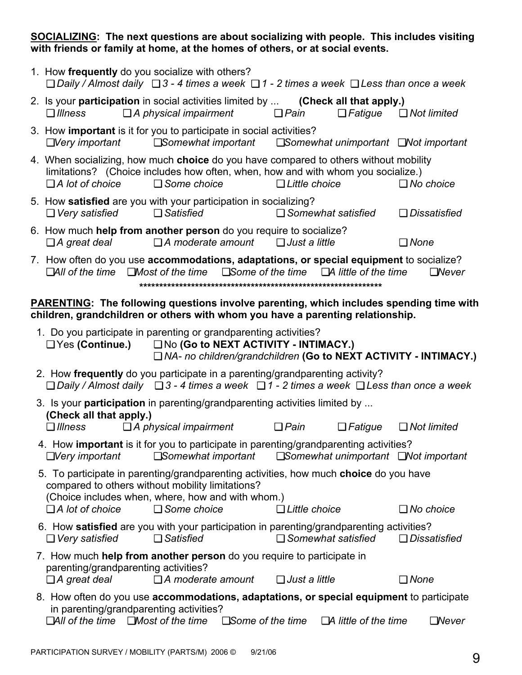**SOCIALIZING: The next questions are about socializing with people. This includes visiting with friends or family at home, at the homes of others, or at social events.** 

| 1. How frequently do you socialize with others?<br>$\Box$ Daily / Almost daily $\Box$ 3 - 4 times a week $\Box$ 1 - 2 times a week $\Box$ Less than once a week                                                                                                        |                             |                                   |
|------------------------------------------------------------------------------------------------------------------------------------------------------------------------------------------------------------------------------------------------------------------------|-----------------------------|-----------------------------------|
| 2. Is your participation in social activities limited by  (Check all that apply.)<br>$\Box$ A physical impairment<br>$\Box$ Illness<br>$\Box$ Pain                                                                                                                     |                             | $\Box$ Fatique $\Box$ Not limited |
| 3. How important is it for you to participate in social activities?<br>$\Box$ Very important $\Box$ Somewhat important $\Box$ Somewhat unimportant $\Box$ Not important                                                                                                |                             |                                   |
| 4. When socializing, how much choice do you have compared to others without mobility<br>limitations? (Choice includes how often, when, how and with whom you socialize.)<br>$\Box$ Some choice<br>$\Box$ A lot of choice<br>$\Box$ Little choice                       |                             | $\Box$ No choice                  |
| 5. How satisfied are you with your participation in socializing?<br>$\Box$ Very satisfied $\Box$ Satisfied<br>$\Box$ Somewhat satisfied                                                                                                                                |                             | $\Box$ Dissatisfied               |
| 6. How much help from another person do you require to socialize?<br>$\Box$ A moderate amount $\Box$ Just a little<br>$\Box$ A great deal                                                                                                                              |                             | $\Box$ None                       |
| 7. How often do you use accommodations, adaptations, or special equipment to socialize?<br>$\Box$ All of the time $\Box$ Most of the time $\Box$ Some of the time $\Box$ A little of the time                                                                          |                             | $\Box$ Never                      |
|                                                                                                                                                                                                                                                                        |                             |                                   |
| <b>PARENTING:</b> The following questions involve parenting, which includes spending time with<br>children, grandchildren or others with whom you have a parenting relationship.                                                                                       |                             |                                   |
| 1. Do you participate in parenting or grandparenting activities?<br>$\Box$ Yes (Continue.) $\Box$ No (Go to NEXT ACTIVITY - INTIMACY.)<br>□ NA- no children/grandchildren (Go to NEXT ACTIVITY - INTIMACY.)                                                            |                             |                                   |
| 2. How frequently do you participate in a parenting/grandparenting activity?<br>$\Box$ Daily / Almost daily $\Box$ 3 - 4 times a week $\Box$ 1 - 2 times a week $\Box$ Less than once a week                                                                           |                             |                                   |
| 3. Is your <b>participation</b> in parenting/grandparenting activities limited by                                                                                                                                                                                      |                             |                                   |
| (Check all that apply.)<br>$\Box$ A physical impairment<br>$\Box$ Pain<br>$\Box$ <i>Illness</i>                                                                                                                                                                        |                             | $\Box$ Fatigue $\Box$ Not limited |
| 4. How important is it for you to participate in parenting/grandparenting activities?<br>$\square$ Somewhat unimportant $\square$ Not important<br>$\Box$ Very important<br>$\square$ Somewhat important                                                               |                             |                                   |
| 5. To participate in parenting/grandparenting activities, how much choice do you have<br>compared to others without mobility limitations?<br>(Choice includes when, where, how and with whom.)<br>$\Box$ A lot of choice<br>$\Box$ Some choice<br>$\Box$ Little choice |                             | $\Box$ No choice                  |
| 6. How satisfied are you with your participation in parenting/grandparenting activities?<br>$\Box$ Somewhat satisfied<br>$\Box$ Very satisfied<br>$\Box$ Satisfied                                                                                                     |                             | $\Box$ Dissatisfied               |
| 7. How much help from another person do you require to participate in<br>parenting/grandparenting activities?<br>$\Box$ A moderate amount<br>$\Box$ A great deal<br>$\Box$ Just a little                                                                               |                             | $\Box$ None                       |
| 8. How often do you use accommodations, adaptations, or special equipment to participate<br>in parenting/grandparenting activities?<br>$\Box$ All of the time $\Box$ Most of the time $\Box$ Some of the time                                                          | $\Box$ A little of the time | $\Box$ Never                      |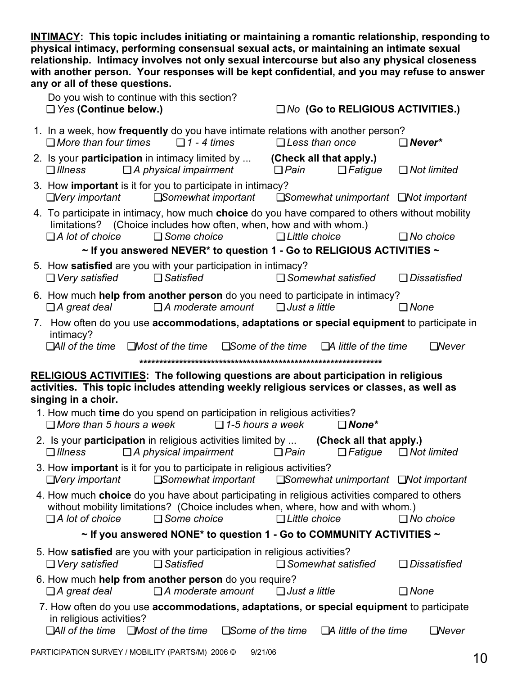**INTIMACY: This topic includes initiating or maintaining a romantic relationship, responding to physical intimacy, performing consensual sexual acts, or maintaining an intimate sexual relationship. Intimacy involves not only sexual intercourse but also any physical closeness with another person. Your responses will be kept confidential, and you may refuse to answer any or all of these questions.** 

 Do you wish to continue with this section? ❏ *Yes* **(Continue below.)** ❏ *No* **(Go to RELIGIOUS ACTIVITIES.)**  1.In a week, how **frequently** do you have intimate relations with another person? ❏ *More than four times* ❏ *1 - 4 times* ❏ *Less than once* ❏ *Never\** 2. Is your **participation** in intimacy limited by ... **(Check all that apply.)** ❏ *Illness* ❏ *A physical impairment* ❏ *Pain* ❏ *Fatigue* ❏ *Not limited*  3.How **important** is it for you to participate in intimacy? ❏*Very important* ❏*Somewhat important* ❏*Somewhat unimportant* ❏*Not important*  4. To participate in intimacy, how much **choice** do you have compared to others without mobility limitations? (Choice includes how often, when, how and with whom.) ❏ *A lot of choice* ❏ *Some choice* ❏ *Little choice* ❏ *No choice* **~ If you answered NEVER\* to question 1 - Go to RELIGIOUS ACTIVITIES ~**  5.How **satisfied** are you with your participation in intimacy? ❏ *Very satisfied* ❏ *Satisfied* ❏ *Somewhat satisfied* ❏ *Dissatisfied* 6.How much **help from another person** do you need to participate in intimacy? ❏ *A great deal*❏ *A moderate amount*❏ *Just a little*❏ *None* 7. How often do you use **accommodations, adaptations or special equipment** to participate in intimacy? ❏*All of the time* ❏*Most of the time* ❏*Some of the time* ❏*A little of the time* ❏*Never*  **\*\*\*\*\*\*\*\*\*\*\*\*\*\*\*\*\*\*\*\*\*\*\*\*\*\*\*\*\*\*\*\*\*\*\*\*\*\*\*\*\*\*\*\*\*\*\*\*\*\*\*\*\*\*\*\*\*\*\*\*\* RELIGIOUS ACTIVITIES: The following questions are about participation in religious activities. This topic includes attending weekly religious services or classes, as well as singing in a choir.**  1*.* How much **time** do you spend on participation in religious activities? ❏ *More than 5 hours a week* ❏ *1-5 hours a week* ❏ *None\** 2. Is your **participation** in religious activities limited by ... **(Check all that apply.)** ❏ *Illness* ❏ *A physical impairment* ❏ *Pain* ❏ *Fatigue* ❏ *Not limited*  3. How **important** is it for you to participate in religious activities? ❏*Very important* ❏*Somewhat important* ❏*Somewhat unimportant* ❏*Not important*  4. How much **choice** do you have about participating in religious activities compared to others without mobility limitations? (Choice includes when, where, how and with whom.) ❏ *A lot of choice* ❏ *Some choice* ❏ *Little choice* ❏ *No choice* **~ If you answered NONE\* to question 1 - Go to COMMUNITY ACTIVITIES ~**  5. How **satisfied** are you with your participation in religious activities? ❏ *Very satisfied* ❏ *Satisfied* ❏ *Somewhat satisfied* ❏ *Dissatisfied* 6. How much **help from another person** do you require? ❏ *A great deal*❏ *A moderate amount*❏ *Just a little*❏ *None* 7. How often do you use **accommodations, adaptations, or special equipment** to participate in religious activities? ❏*All of the time* ❏*Most of the time* ❏*Some of the time* ❏*A little of the time* ❏*Never*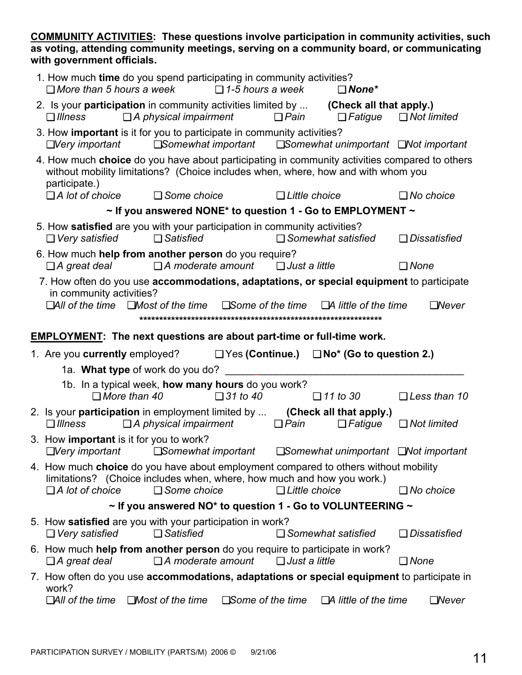**COMMUNITY ACTIVITIES: These questions involve participation in community activities, such as voting, attending community meetings, serving on a community board, or communicating with government officials.** 

| 1. How much time do you spend participating in community activities?<br>$\Box$ More than 5 hours a week $\Box$ 1-5 hours a week<br>$\Box$ None*<br>2. Is your participation in community activities limited by  (Check all that apply.)<br>$\Box$ A physical impairment<br>$\Box$ Pain<br>$\Box$ Fatigue<br>$\Box$ Illness<br>3. How important is it for you to participate in community activities?<br><b>□Somewhat important · □Somewhat unimportant · □Not important</b><br>$\Box$ Very important<br>4. How much choice do you have about participating in community activities compared to others<br>without mobility limitations? (Choice includes when, where, how and with whom you<br>participate.)<br>$\Box$ A lot of choice $\Box$ Some choice<br>$\Box$ Little choice<br>$\sim$ If you answered NONE* to question 1 - Go to EMPLOYMENT $\sim$<br>5. How satisfied are you with your participation in community activities?<br>$\Box$ Satisfied<br>$\Box$ Very satisfied<br>$\Box$ Somewhat satisfied<br>6. How much help from another person do you require?<br>$\Box$ A great deal $\Box$ A moderate amount $\Box$ Just a little<br>$\Box$ None<br>7. How often do you use accommodations, adaptations, or special equipment to participate<br>in community activities?<br>$\Box$ All of the time $\Box$ Most of the time $\Box$ Some of the time<br>$\Box$ A little of the time<br><b>EMPLOYMENT:</b> The next questions are about part-time or full-time work.<br>1. Are you currently employed? $\Box$ Yes (Continue.) $\Box$ No <sup>*</sup> (Go to question 2.)<br>1a. What type of work do you do?<br>1b. In a typical week, how many hours do you work?<br>$\Box$ 31 to 40<br>$\Box$ More than 40<br>$\Box$ 11 to 30<br>2. Is your <b>participation</b> in employment limited by  (Check all that apply.)<br>$\Box$ A physical impairment<br><b>□ Pain</b><br>$\Box$ Fatigue<br>$\Box$ Illness<br>3. How important is it for you to work?<br>$\Box$ Very important<br>$\square$ Somewhat important $\square$ Somewhat unimportant $\square$ Not important<br>4. How much choice do you have about employment compared to others without mobility<br>limitations? (Choice includes when, where, how much and how you work.)<br>$\Box$ A lot of choice<br>$\Box$ Little choice<br>$\Box$ Some choice<br>$\sim$ If you answered NO* to question 1 - Go to VOLUNTEERING $\sim$<br>5. How satisfied are you with your participation in work?<br>$\Box$ Very satisfied<br>$\Box$ Satisfied<br>$\Box$ Somewhat satisfied<br>6. How much <b>help from another person</b> do you require to participate in work?<br>$\Box$ A moderate amount<br>$\Box$ A great deal<br>$\Box$ Just a little<br>$\Box$ None<br>7. How often do you use accommodations, adaptations or special equipment to participate in<br>work?<br>$\Box$ All of the time $\Box$ Most of the time<br>$\square$ Some of the time<br>$\Box$ A little of the time<br>$\Box$ Never |  |  |  |                       |
|------------------------------------------------------------------------------------------------------------------------------------------------------------------------------------------------------------------------------------------------------------------------------------------------------------------------------------------------------------------------------------------------------------------------------------------------------------------------------------------------------------------------------------------------------------------------------------------------------------------------------------------------------------------------------------------------------------------------------------------------------------------------------------------------------------------------------------------------------------------------------------------------------------------------------------------------------------------------------------------------------------------------------------------------------------------------------------------------------------------------------------------------------------------------------------------------------------------------------------------------------------------------------------------------------------------------------------------------------------------------------------------------------------------------------------------------------------------------------------------------------------------------------------------------------------------------------------------------------------------------------------------------------------------------------------------------------------------------------------------------------------------------------------------------------------------------------------------------------------------------------------------------------------------------------------------------------------------------------------------------------------------------------------------------------------------------------------------------------------------------------------------------------------------------------------------------------------------------------------------------------------------------------------------------------------------------------------------------------------------------------------------------------------------------------------------------------------------------------------------------------------------------------------------------------------------------------------------------------------------------------------------------------------------------------------------------------------------------------------------------------------------------------------------------------------------------------------------------------------------------------------------------------------------------------------------------------------|--|--|--|-----------------------|
|                                                                                                                                                                                                                                                                                                                                                                                                                                                                                                                                                                                                                                                                                                                                                                                                                                                                                                                                                                                                                                                                                                                                                                                                                                                                                                                                                                                                                                                                                                                                                                                                                                                                                                                                                                                                                                                                                                                                                                                                                                                                                                                                                                                                                                                                                                                                                                                                                                                                                                                                                                                                                                                                                                                                                                                                                                                                                                                                                            |  |  |  |                       |
|                                                                                                                                                                                                                                                                                                                                                                                                                                                                                                                                                                                                                                                                                                                                                                                                                                                                                                                                                                                                                                                                                                                                                                                                                                                                                                                                                                                                                                                                                                                                                                                                                                                                                                                                                                                                                                                                                                                                                                                                                                                                                                                                                                                                                                                                                                                                                                                                                                                                                                                                                                                                                                                                                                                                                                                                                                                                                                                                                            |  |  |  | $\Box$ Not limited    |
|                                                                                                                                                                                                                                                                                                                                                                                                                                                                                                                                                                                                                                                                                                                                                                                                                                                                                                                                                                                                                                                                                                                                                                                                                                                                                                                                                                                                                                                                                                                                                                                                                                                                                                                                                                                                                                                                                                                                                                                                                                                                                                                                                                                                                                                                                                                                                                                                                                                                                                                                                                                                                                                                                                                                                                                                                                                                                                                                                            |  |  |  |                       |
|                                                                                                                                                                                                                                                                                                                                                                                                                                                                                                                                                                                                                                                                                                                                                                                                                                                                                                                                                                                                                                                                                                                                                                                                                                                                                                                                                                                                                                                                                                                                                                                                                                                                                                                                                                                                                                                                                                                                                                                                                                                                                                                                                                                                                                                                                                                                                                                                                                                                                                                                                                                                                                                                                                                                                                                                                                                                                                                                                            |  |  |  |                       |
|                                                                                                                                                                                                                                                                                                                                                                                                                                                                                                                                                                                                                                                                                                                                                                                                                                                                                                                                                                                                                                                                                                                                                                                                                                                                                                                                                                                                                                                                                                                                                                                                                                                                                                                                                                                                                                                                                                                                                                                                                                                                                                                                                                                                                                                                                                                                                                                                                                                                                                                                                                                                                                                                                                                                                                                                                                                                                                                                                            |  |  |  | $\Box$ No choice      |
|                                                                                                                                                                                                                                                                                                                                                                                                                                                                                                                                                                                                                                                                                                                                                                                                                                                                                                                                                                                                                                                                                                                                                                                                                                                                                                                                                                                                                                                                                                                                                                                                                                                                                                                                                                                                                                                                                                                                                                                                                                                                                                                                                                                                                                                                                                                                                                                                                                                                                                                                                                                                                                                                                                                                                                                                                                                                                                                                                            |  |  |  |                       |
|                                                                                                                                                                                                                                                                                                                                                                                                                                                                                                                                                                                                                                                                                                                                                                                                                                                                                                                                                                                                                                                                                                                                                                                                                                                                                                                                                                                                                                                                                                                                                                                                                                                                                                                                                                                                                                                                                                                                                                                                                                                                                                                                                                                                                                                                                                                                                                                                                                                                                                                                                                                                                                                                                                                                                                                                                                                                                                                                                            |  |  |  | $\Box$ Dissatisfied   |
|                                                                                                                                                                                                                                                                                                                                                                                                                                                                                                                                                                                                                                                                                                                                                                                                                                                                                                                                                                                                                                                                                                                                                                                                                                                                                                                                                                                                                                                                                                                                                                                                                                                                                                                                                                                                                                                                                                                                                                                                                                                                                                                                                                                                                                                                                                                                                                                                                                                                                                                                                                                                                                                                                                                                                                                                                                                                                                                                                            |  |  |  |                       |
|                                                                                                                                                                                                                                                                                                                                                                                                                                                                                                                                                                                                                                                                                                                                                                                                                                                                                                                                                                                                                                                                                                                                                                                                                                                                                                                                                                                                                                                                                                                                                                                                                                                                                                                                                                                                                                                                                                                                                                                                                                                                                                                                                                                                                                                                                                                                                                                                                                                                                                                                                                                                                                                                                                                                                                                                                                                                                                                                                            |  |  |  | $\Box$ Never          |
|                                                                                                                                                                                                                                                                                                                                                                                                                                                                                                                                                                                                                                                                                                                                                                                                                                                                                                                                                                                                                                                                                                                                                                                                                                                                                                                                                                                                                                                                                                                                                                                                                                                                                                                                                                                                                                                                                                                                                                                                                                                                                                                                                                                                                                                                                                                                                                                                                                                                                                                                                                                                                                                                                                                                                                                                                                                                                                                                                            |  |  |  |                       |
|                                                                                                                                                                                                                                                                                                                                                                                                                                                                                                                                                                                                                                                                                                                                                                                                                                                                                                                                                                                                                                                                                                                                                                                                                                                                                                                                                                                                                                                                                                                                                                                                                                                                                                                                                                                                                                                                                                                                                                                                                                                                                                                                                                                                                                                                                                                                                                                                                                                                                                                                                                                                                                                                                                                                                                                                                                                                                                                                                            |  |  |  |                       |
|                                                                                                                                                                                                                                                                                                                                                                                                                                                                                                                                                                                                                                                                                                                                                                                                                                                                                                                                                                                                                                                                                                                                                                                                                                                                                                                                                                                                                                                                                                                                                                                                                                                                                                                                                                                                                                                                                                                                                                                                                                                                                                                                                                                                                                                                                                                                                                                                                                                                                                                                                                                                                                                                                                                                                                                                                                                                                                                                                            |  |  |  |                       |
|                                                                                                                                                                                                                                                                                                                                                                                                                                                                                                                                                                                                                                                                                                                                                                                                                                                                                                                                                                                                                                                                                                                                                                                                                                                                                                                                                                                                                                                                                                                                                                                                                                                                                                                                                                                                                                                                                                                                                                                                                                                                                                                                                                                                                                                                                                                                                                                                                                                                                                                                                                                                                                                                                                                                                                                                                                                                                                                                                            |  |  |  | $\Box$ Less than 10   |
|                                                                                                                                                                                                                                                                                                                                                                                                                                                                                                                                                                                                                                                                                                                                                                                                                                                                                                                                                                                                                                                                                                                                                                                                                                                                                                                                                                                                                                                                                                                                                                                                                                                                                                                                                                                                                                                                                                                                                                                                                                                                                                                                                                                                                                                                                                                                                                                                                                                                                                                                                                                                                                                                                                                                                                                                                                                                                                                                                            |  |  |  | $\Box$ Not limited    |
|                                                                                                                                                                                                                                                                                                                                                                                                                                                                                                                                                                                                                                                                                                                                                                                                                                                                                                                                                                                                                                                                                                                                                                                                                                                                                                                                                                                                                                                                                                                                                                                                                                                                                                                                                                                                                                                                                                                                                                                                                                                                                                                                                                                                                                                                                                                                                                                                                                                                                                                                                                                                                                                                                                                                                                                                                                                                                                                                                            |  |  |  |                       |
|                                                                                                                                                                                                                                                                                                                                                                                                                                                                                                                                                                                                                                                                                                                                                                                                                                                                                                                                                                                                                                                                                                                                                                                                                                                                                                                                                                                                                                                                                                                                                                                                                                                                                                                                                                                                                                                                                                                                                                                                                                                                                                                                                                                                                                                                                                                                                                                                                                                                                                                                                                                                                                                                                                                                                                                                                                                                                                                                                            |  |  |  |                       |
|                                                                                                                                                                                                                                                                                                                                                                                                                                                                                                                                                                                                                                                                                                                                                                                                                                                                                                                                                                                                                                                                                                                                                                                                                                                                                                                                                                                                                                                                                                                                                                                                                                                                                                                                                                                                                                                                                                                                                                                                                                                                                                                                                                                                                                                                                                                                                                                                                                                                                                                                                                                                                                                                                                                                                                                                                                                                                                                                                            |  |  |  | $\Box$ No choice      |
|                                                                                                                                                                                                                                                                                                                                                                                                                                                                                                                                                                                                                                                                                                                                                                                                                                                                                                                                                                                                                                                                                                                                                                                                                                                                                                                                                                                                                                                                                                                                                                                                                                                                                                                                                                                                                                                                                                                                                                                                                                                                                                                                                                                                                                                                                                                                                                                                                                                                                                                                                                                                                                                                                                                                                                                                                                                                                                                                                            |  |  |  |                       |
|                                                                                                                                                                                                                                                                                                                                                                                                                                                                                                                                                                                                                                                                                                                                                                                                                                                                                                                                                                                                                                                                                                                                                                                                                                                                                                                                                                                                                                                                                                                                                                                                                                                                                                                                                                                                                                                                                                                                                                                                                                                                                                                                                                                                                                                                                                                                                                                                                                                                                                                                                                                                                                                                                                                                                                                                                                                                                                                                                            |  |  |  | <b>□</b> Dissatisfied |
|                                                                                                                                                                                                                                                                                                                                                                                                                                                                                                                                                                                                                                                                                                                                                                                                                                                                                                                                                                                                                                                                                                                                                                                                                                                                                                                                                                                                                                                                                                                                                                                                                                                                                                                                                                                                                                                                                                                                                                                                                                                                                                                                                                                                                                                                                                                                                                                                                                                                                                                                                                                                                                                                                                                                                                                                                                                                                                                                                            |  |  |  |                       |
|                                                                                                                                                                                                                                                                                                                                                                                                                                                                                                                                                                                                                                                                                                                                                                                                                                                                                                                                                                                                                                                                                                                                                                                                                                                                                                                                                                                                                                                                                                                                                                                                                                                                                                                                                                                                                                                                                                                                                                                                                                                                                                                                                                                                                                                                                                                                                                                                                                                                                                                                                                                                                                                                                                                                                                                                                                                                                                                                                            |  |  |  |                       |
|                                                                                                                                                                                                                                                                                                                                                                                                                                                                                                                                                                                                                                                                                                                                                                                                                                                                                                                                                                                                                                                                                                                                                                                                                                                                                                                                                                                                                                                                                                                                                                                                                                                                                                                                                                                                                                                                                                                                                                                                                                                                                                                                                                                                                                                                                                                                                                                                                                                                                                                                                                                                                                                                                                                                                                                                                                                                                                                                                            |  |  |  |                       |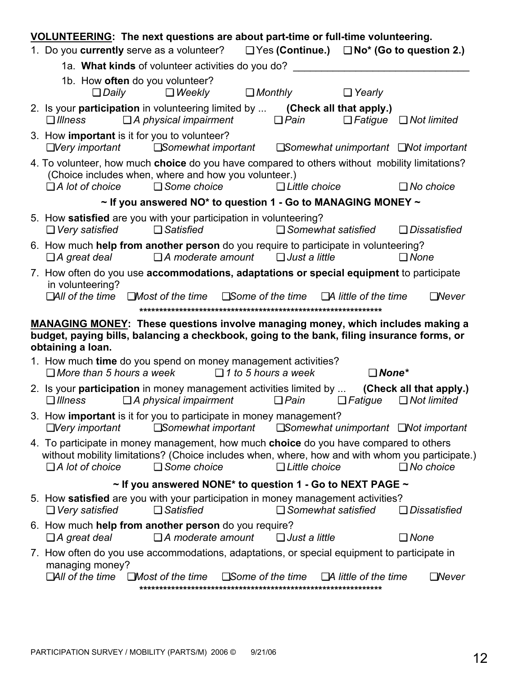| VOLUNTEERING: The next questions are about part-time or full-time volunteering.                                                                                                                           |                                                                                                                                                                                 |  |                                                  |                            |                           |                             |                                                                                                                                              |
|-----------------------------------------------------------------------------------------------------------------------------------------------------------------------------------------------------------|---------------------------------------------------------------------------------------------------------------------------------------------------------------------------------|--|--------------------------------------------------|----------------------------|---------------------------|-----------------------------|----------------------------------------------------------------------------------------------------------------------------------------------|
|                                                                                                                                                                                                           | 1. Do you currently serve as a volunteer? $\Box$ Yes (Continue.) $\Box$ No <sup>*</sup> (Go to question 2.)                                                                     |  |                                                  |                            |                           |                             |                                                                                                                                              |
|                                                                                                                                                                                                           | 1a. What kinds of volunteer activities do you do? ______________________________                                                                                                |  |                                                  |                            |                           |                             |                                                                                                                                              |
|                                                                                                                                                                                                           | $\Box$ Daily                                                                                                                                                                    |  | 1b. How often do you volunteer?<br>$\Box$ Weekly |                            | $\Box$ Monthly            | $\Box$ Yearly               |                                                                                                                                              |
|                                                                                                                                                                                                           | 2. Is your participation in volunteering limited by  (Check all that apply.)<br>$\Box$ Illness                                                                                  |  | $\Box$ A physical impairment                     |                            | $\Box$ Pain               |                             | $\Box$ Fatigue $\Box$ Not limited                                                                                                            |
|                                                                                                                                                                                                           | 3. How important is it for you to volunteer?                                                                                                                                    |  |                                                  |                            |                           |                             | $\Box$ Very important $\Box$ Somewhat important $\Box$ Somewhat unimportant $\Box$ Not important                                             |
|                                                                                                                                                                                                           | 4. To volunteer, how much choice do you have compared to others without mobility limitations?<br>(Choice includes when, where and how you volunteer.)<br>$\Box$ A lot of choice |  | $\Box$ Some choice                               |                            | $\Box$ Little choice      |                             | $\Box$ No choice                                                                                                                             |
| $\sim$ If you answered NO* to question 1 - Go to MANAGING MONEY $\sim$                                                                                                                                    |                                                                                                                                                                                 |  |                                                  |                            |                           |                             |                                                                                                                                              |
|                                                                                                                                                                                                           | 5. How satisfied are you with your participation in volunteering?<br>$\Box$ Very satisfied                                                                                      |  | $\Box$ Satisfied                                 |                            |                           | $\Box$ Somewhat satisfied   | $\Box$ Dissatisfied                                                                                                                          |
|                                                                                                                                                                                                           | 6. How much help from another person do you require to participate in volunteering?<br>$\Box$ A great deal                                                                      |  | $\Box$ A moderate amount $\Box$ Just a little    |                            |                           |                             | $\Box$ None                                                                                                                                  |
|                                                                                                                                                                                                           | 7. How often do you use accommodations, adaptations or special equipment to participate<br>in volunteering?<br>$\Box$ All of the time $\Box$ Most of the time                   |  |                                                  | $\square$ Some of the time |                           | $\Box$ A little of the time | $\Box$ Never                                                                                                                                 |
| <b>MANAGING MONEY:</b> These questions involve managing money, which includes making a<br>budget, paying bills, balancing a checkbook, going to the bank, filing insurance forms, or<br>obtaining a loan. |                                                                                                                                                                                 |  |                                                  |                            |                           |                             |                                                                                                                                              |
|                                                                                                                                                                                                           | 1. How much time do you spend on money management activities?<br>$\Box$ 1 to 5 hours a week<br>$\Box$ More than 5 hours a week<br>$\Box$ None*                                  |  |                                                  |                            |                           |                             |                                                                                                                                              |
|                                                                                                                                                                                                           | $\Box$ Illness $\Box$ A physical impairment                                                                                                                                     |  |                                                  |                            |                           |                             | 2. Is your participation in money management activities limited by  (Check all that apply.)<br>$\Box$ Pain $\Box$ Fatigue $\Box$ Not limited |
|                                                                                                                                                                                                           | 3. How important is it for you to participate in money management?<br>$\Box$ Very important                                                                                     |  |                                                  |                            |                           |                             | <b>□Somewhat important</b> □Somewhat unimportant □Not important                                                                              |
|                                                                                                                                                                                                           | 4. To participate in money management, how much <b>choice</b> do you have compared to others<br>$\Box$ A lot of choice                                                          |  | $\Box$ Some choice                               |                            | $\Box$ Little choice      |                             | without mobility limitations? (Choice includes when, where, how and with whom you participate.)<br>$\Box$ No choice                          |
|                                                                                                                                                                                                           | $\sim$ If you answered NONE* to question 1 - Go to NEXT PAGE $\sim$                                                                                                             |  |                                                  |                            |                           |                             |                                                                                                                                              |
|                                                                                                                                                                                                           | 5. How satisfied are you with your participation in money management activities?<br>$\Box$ Very satisfied                                                                       |  | $\Box$ Satisfied                                 |                            | $\Box$ Somewhat satisfied |                             | $\Box$ Dissatisfied                                                                                                                          |
|                                                                                                                                                                                                           | 6. How much help from another person do you require?<br>$\Box$ A great deal                                                                                                     |  | $\Box$ A moderate amount                         |                            | $\Box$ Just a little      |                             | $\Box$ None                                                                                                                                  |
|                                                                                                                                                                                                           | 7. How often do you use accommodations, adaptations, or special equipment to participate in<br>managing money?<br>$\Box$ All of the time $\Box$ Most of the time                |  |                                                  | $\square$ Some of the time |                           | $\Box A$ little of the time | $\Box$ Never                                                                                                                                 |